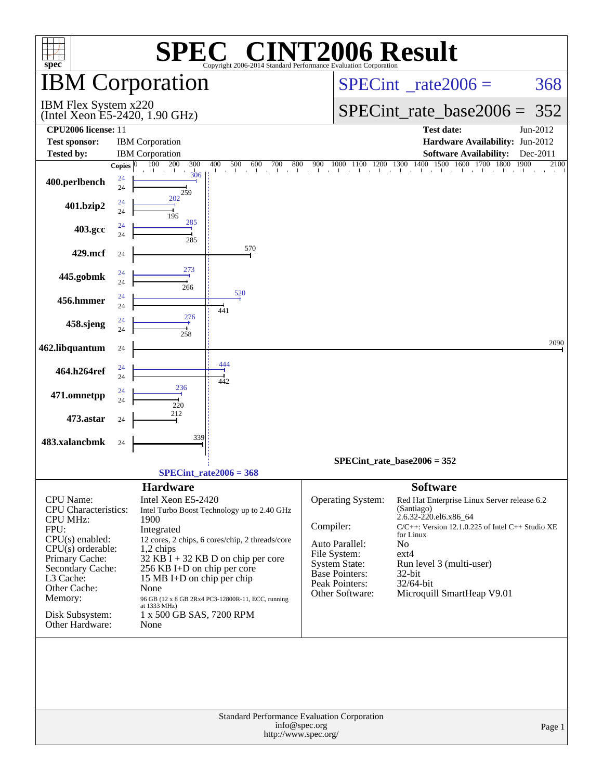| <b>NT2006 Result</b><br>$\circledR$<br>$spec^*$<br>Copyright 2006-2014 Standard Performance Evaluation Corporation                                                                                                         |                    |                                                                                                                                                                                                   |                                                                                                                                                                                             |                                                                                                                                                 |                                                                                                                                                                                                                                                                           |          |  |  |  |  |  |
|----------------------------------------------------------------------------------------------------------------------------------------------------------------------------------------------------------------------------|--------------------|---------------------------------------------------------------------------------------------------------------------------------------------------------------------------------------------------|---------------------------------------------------------------------------------------------------------------------------------------------------------------------------------------------|-------------------------------------------------------------------------------------------------------------------------------------------------|---------------------------------------------------------------------------------------------------------------------------------------------------------------------------------------------------------------------------------------------------------------------------|----------|--|--|--|--|--|
|                                                                                                                                                                                                                            |                    | <b>IBM Corporation</b>                                                                                                                                                                            |                                                                                                                                                                                             |                                                                                                                                                 | $SPECint^{\circ}$ rate $2006 =$                                                                                                                                                                                                                                           | 368      |  |  |  |  |  |
| IBM Flex System x220<br>(Intel Xeon E5-2420, 1.90 GHz)                                                                                                                                                                     |                    |                                                                                                                                                                                                   |                                                                                                                                                                                             |                                                                                                                                                 | $SPECint_rate\_base2006 =$                                                                                                                                                                                                                                                | 352      |  |  |  |  |  |
| <b>CPU2006</b> license: 11                                                                                                                                                                                                 |                    |                                                                                                                                                                                                   |                                                                                                                                                                                             |                                                                                                                                                 | <b>Test date:</b>                                                                                                                                                                                                                                                         | Jun-2012 |  |  |  |  |  |
| <b>Test sponsor:</b>                                                                                                                                                                                                       |                    | <b>IBM</b> Corporation                                                                                                                                                                            |                                                                                                                                                                                             |                                                                                                                                                 | Hardware Availability: Jun-2012                                                                                                                                                                                                                                           |          |  |  |  |  |  |
| <b>Tested by:</b>                                                                                                                                                                                                          |                    | <b>IBM</b> Corporation                                                                                                                                                                            |                                                                                                                                                                                             |                                                                                                                                                 | Software Availability: Dec-2011                                                                                                                                                                                                                                           |          |  |  |  |  |  |
|                                                                                                                                                                                                                            | Copies $ 0\rangle$ | 100<br>- 200<br>300<br><b>Contract</b><br>306                                                                                                                                                     | 400                                                                                                                                                                                         |                                                                                                                                                 | 1000 1100 1200 1300 1400 1500 1600 1700 1800                                                                                                                                                                                                                              | 2100     |  |  |  |  |  |
| 400.perlbench                                                                                                                                                                                                              | 24<br>24           | 259                                                                                                                                                                                               |                                                                                                                                                                                             |                                                                                                                                                 |                                                                                                                                                                                                                                                                           |          |  |  |  |  |  |
| 401.bzip2                                                                                                                                                                                                                  | 24<br>24           | 202<br>195                                                                                                                                                                                        |                                                                                                                                                                                             |                                                                                                                                                 |                                                                                                                                                                                                                                                                           |          |  |  |  |  |  |
| 403.gcc                                                                                                                                                                                                                    | 24<br>24           | 285<br>285                                                                                                                                                                                        |                                                                                                                                                                                             |                                                                                                                                                 |                                                                                                                                                                                                                                                                           |          |  |  |  |  |  |
| 429.mcf                                                                                                                                                                                                                    | 24                 |                                                                                                                                                                                                   | 570                                                                                                                                                                                         |                                                                                                                                                 |                                                                                                                                                                                                                                                                           |          |  |  |  |  |  |
| 445.gobmk                                                                                                                                                                                                                  | 24<br>24           | 273<br>266                                                                                                                                                                                        |                                                                                                                                                                                             |                                                                                                                                                 |                                                                                                                                                                                                                                                                           |          |  |  |  |  |  |
| 456.hmmer                                                                                                                                                                                                                  | 24<br>24           |                                                                                                                                                                                                   | 520<br>441                                                                                                                                                                                  |                                                                                                                                                 |                                                                                                                                                                                                                                                                           |          |  |  |  |  |  |
| 458.sjeng                                                                                                                                                                                                                  | 24<br>24           | 276<br>258                                                                                                                                                                                        |                                                                                                                                                                                             |                                                                                                                                                 |                                                                                                                                                                                                                                                                           |          |  |  |  |  |  |
| 462.libquantum                                                                                                                                                                                                             | 24                 |                                                                                                                                                                                                   | 444                                                                                                                                                                                         |                                                                                                                                                 |                                                                                                                                                                                                                                                                           | 2090     |  |  |  |  |  |
| 464.h264ref                                                                                                                                                                                                                | 24<br>24           | 236                                                                                                                                                                                               | 442                                                                                                                                                                                         |                                                                                                                                                 |                                                                                                                                                                                                                                                                           |          |  |  |  |  |  |
| 471.omnetpp                                                                                                                                                                                                                | 24<br>24           | 220<br>212                                                                                                                                                                                        |                                                                                                                                                                                             |                                                                                                                                                 |                                                                                                                                                                                                                                                                           |          |  |  |  |  |  |
| 473.astar                                                                                                                                                                                                                  | 24                 | 339                                                                                                                                                                                               |                                                                                                                                                                                             |                                                                                                                                                 |                                                                                                                                                                                                                                                                           |          |  |  |  |  |  |
| 483.xalancbmk                                                                                                                                                                                                              | 24                 |                                                                                                                                                                                                   |                                                                                                                                                                                             |                                                                                                                                                 | $SPECint_rate_base2006 = 352$                                                                                                                                                                                                                                             |          |  |  |  |  |  |
|                                                                                                                                                                                                                            |                    |                                                                                                                                                                                                   | $SPECint_rate2006 = 368$                                                                                                                                                                    |                                                                                                                                                 |                                                                                                                                                                                                                                                                           |          |  |  |  |  |  |
| CPU Name:<br>CPU Characteristics:<br><b>CPU MHz:</b><br>FPU:<br>CPU(s) enabled:<br>$CPU(s)$ orderable:<br>Primary Cache:<br>Secondary Cache:<br>L3 Cache:<br>Other Cache:<br>Memory:<br>Disk Subsystem:<br>Other Hardware: |                    | <b>Hardware</b><br>Intel Xeon E5-2420<br>1900<br>Integrated<br>1,2 chips<br>256 KB I+D on chip per core<br>15 MB I+D on chip per chip<br>None<br>at 1333 MHz)<br>1 x 500 GB SAS, 7200 RPM<br>None | Intel Turbo Boost Technology up to 2.40 GHz<br>12 cores, 2 chips, 6 cores/chip, 2 threads/core<br>$32$ KB I + 32 KB D on chip per core<br>96 GB (12 x 8 GB 2Rx4 PC3-12800R-11, ECC, running | Operating System:<br>Compiler:<br>Auto Parallel:<br>File System:<br><b>System State:</b><br>Base Pointers:<br>Peak Pointers:<br>Other Software: | <b>Software</b><br>Red Hat Enterprise Linux Server release 6.2<br>(Santiago)<br>2.6.32-220.el6.x86_64<br>C/C++: Version 12.1.0.225 of Intel C++ Studio XE<br>for Linux<br>No<br>$ext{4}$<br>Run level 3 (multi-user)<br>32-bit<br>32/64-bit<br>Microquill SmartHeap V9.01 |          |  |  |  |  |  |
|                                                                                                                                                                                                                            |                    |                                                                                                                                                                                                   |                                                                                                                                                                                             | <b>Standard Performance Evaluation Corporation</b><br>info@spec.org<br>http://www.spec.org/                                                     |                                                                                                                                                                                                                                                                           | Page 1   |  |  |  |  |  |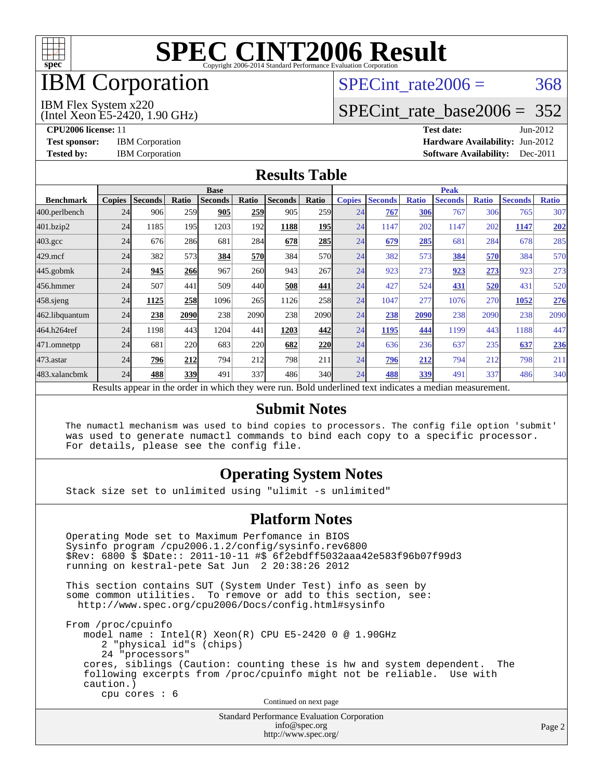

## IBM Corporation

## SPECint rate $2006 = 368$

#### IBM Flex System x220

(Intel Xeon E5-2420, 1.90 GHz)

[SPECint\\_rate\\_base2006 =](http://www.spec.org/auto/cpu2006/Docs/result-fields.html#SPECintratebase2006) 352

**[CPU2006 license:](http://www.spec.org/auto/cpu2006/Docs/result-fields.html#CPU2006license)** 11 **[Test date:](http://www.spec.org/auto/cpu2006/Docs/result-fields.html#Testdate)** Jun-2012 **[Test sponsor:](http://www.spec.org/auto/cpu2006/Docs/result-fields.html#Testsponsor)** IBM Corporation **[Hardware Availability:](http://www.spec.org/auto/cpu2006/Docs/result-fields.html#HardwareAvailability)** Jun-2012 **[Tested by:](http://www.spec.org/auto/cpu2006/Docs/result-fields.html#Testedby)** IBM Corporation **[Software Availability:](http://www.spec.org/auto/cpu2006/Docs/result-fields.html#SoftwareAvailability)** Dec-2011

#### **[Results Table](http://www.spec.org/auto/cpu2006/Docs/result-fields.html#ResultsTable)**

|                                                                                                          | <b>Base</b>   |                |       |                |            |                |                  | <b>Peak</b>   |                |              |                |              |                |              |
|----------------------------------------------------------------------------------------------------------|---------------|----------------|-------|----------------|------------|----------------|------------------|---------------|----------------|--------------|----------------|--------------|----------------|--------------|
| <b>Benchmark</b>                                                                                         | <b>Copies</b> | <b>Seconds</b> | Ratio | <b>Seconds</b> | Ratio      | <b>Seconds</b> | Ratio            | <b>Copies</b> | <b>Seconds</b> | <b>Ratio</b> | <b>Seconds</b> | <b>Ratio</b> | <b>Seconds</b> | <b>Ratio</b> |
| 400.perlbench                                                                                            | 24            | 906            | 259   | 905            | 259        | 905            | 259 <sub>l</sub> | 24            | 767            | 306          | 767            | 306          | 765            | 307          |
| 401.bzip2                                                                                                | 24            | 1185           | 195   | 1203           | 192        | 1188           | 195              | 24            | 1147           | 202          | 1147           | 202          | 1147           | 202          |
| $403.\mathrm{gcc}$                                                                                       | 24            | 676            | 286   | 681            | 284        | 678            | 285              | 24            | 679            | 285          | 681            | 284          | 678            | 285          |
| $429$ .mcf                                                                                               | 24            | 382            | 573   | 384            | 570        | 384            | 570l             | 24            | 382            | 573          | 384            | 570          | 384            | 570          |
| $445$ .gobmk                                                                                             | 24            | 945            | 266   | 967            | <b>260</b> | 943            | 267              | 24            | 923            | 273          | 923            | 273          | 923            | 273          |
| 456.hmmer                                                                                                | 24            | 507            | 441   | 509            | 440        | 508            | 441              | 24            | 427            | 524          | 431            | 520          | 431            | 520          |
| $458$ .sjeng                                                                                             | 24            | 1125           | 258   | 1096           | 265        | 1126           | 258              | 24            | 1047           | 277          | 1076           | 270          | 1052           | 276          |
| 462.libquantum                                                                                           | 24            | 238            | 2090  | 238            | 2090       | 238            | 2090             | 24            | 238            | 2090         | 238            | 2090         | 238            | 2090         |
| 464.h264ref                                                                                              | 24            | 1198           | 443   | 1204           | 441        | 1203           | 442              | 24            | 1195           | 444          | 1199           | 443          | 1188           | 447          |
| 471.omnetpp                                                                                              | 24            | 681            | 220   | 683            | 220        | 682            | 220              | 24            | 636            | 236          | 637            | 235          | 637            | 236          |
| $473$ . astar                                                                                            | 24            | 796            | 212   | 794            | 212        | 798            | 211              | 24            | 796            | 212          | 794            | 212          | 798            | 211          |
| 483.xalancbmk                                                                                            | 24            | 488            | 339   | 491            | 337        | 486            | 340l             | 24            | 488            | 339          | 491            | 337          | 486            | 340          |
| Results appear in the order in which they were run. Bold underlined text indicates a median measurement. |               |                |       |                |            |                |                  |               |                |              |                |              |                |              |

#### **[Submit Notes](http://www.spec.org/auto/cpu2006/Docs/result-fields.html#SubmitNotes)**

 The numactl mechanism was used to bind copies to processors. The config file option 'submit' was used to generate numactl commands to bind each copy to a specific processor. For details, please see the config file.

### **[Operating System Notes](http://www.spec.org/auto/cpu2006/Docs/result-fields.html#OperatingSystemNotes)**

Stack size set to unlimited using "ulimit -s unlimited"

#### **[Platform Notes](http://www.spec.org/auto/cpu2006/Docs/result-fields.html#PlatformNotes)**

 Operating Mode set to Maximum Perfomance in BIOS Sysinfo program /cpu2006.1.2/config/sysinfo.rev6800 \$Rev: 6800 \$ \$Date:: 2011-10-11 #\$ 6f2ebdff5032aaa42e583f96b07f99d3 running on kestral-pete Sat Jun 2 20:38:26 2012 This section contains SUT (System Under Test) info as seen by some common utilities. To remove or add to this section, see: <http://www.spec.org/cpu2006/Docs/config.html#sysinfo> From /proc/cpuinfo model name : Intel(R) Xeon(R) CPU E5-2420 0 @ 1.90GHz 2 "physical id"s (chips) 24 "processors" cores, siblings (Caution: counting these is hw and system dependent. The following excerpts from /proc/cpuinfo might not be reliable. Use with caution.) cpu cores : 6 Continued on next page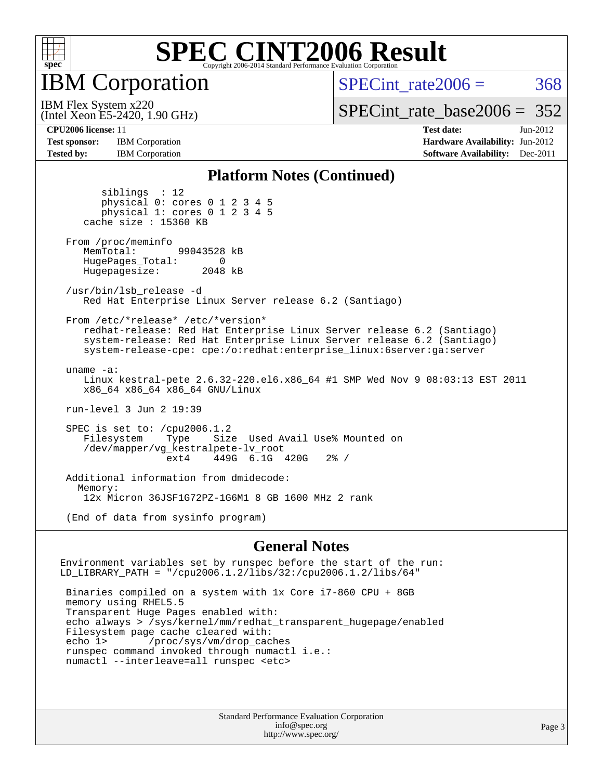

IBM Corporation

SPECint rate $2006 = 368$ 

[SPECint\\_rate\\_base2006 =](http://www.spec.org/auto/cpu2006/Docs/result-fields.html#SPECintratebase2006) 352

IBM Flex System x220

**[Test sponsor:](http://www.spec.org/auto/cpu2006/Docs/result-fields.html#Testsponsor)** IBM Corporation **[Hardware Availability:](http://www.spec.org/auto/cpu2006/Docs/result-fields.html#HardwareAvailability)** Jun-2012 **[Tested by:](http://www.spec.org/auto/cpu2006/Docs/result-fields.html#Testedby)** IBM Corporation **IBM** Corporation **[Software Availability:](http://www.spec.org/auto/cpu2006/Docs/result-fields.html#SoftwareAvailability)** Dec-2011

(Intel Xeon E5-2420, 1.90 GHz)

**[CPU2006 license:](http://www.spec.org/auto/cpu2006/Docs/result-fields.html#CPU2006license)** 11 **[Test date:](http://www.spec.org/auto/cpu2006/Docs/result-fields.html#Testdate)** Jun-2012

#### **[Platform Notes \(Continued\)](http://www.spec.org/auto/cpu2006/Docs/result-fields.html#PlatformNotes)**

 siblings : 12 physical 0: cores 0 1 2 3 4 5 physical 1: cores 0 1 2 3 4 5 cache size : 15360 KB From /proc/meminfo<br>MemTotal: 99043528 kB HugePages\_Total: 0<br>Hugepagesize: 2048 kB Hugepagesize: /usr/bin/lsb\_release -d Red Hat Enterprise Linux Server release 6.2 (Santiago) From /etc/\*release\* /etc/\*version\* redhat-release: Red Hat Enterprise Linux Server release 6.2 (Santiago) system-release: Red Hat Enterprise Linux Server release 6.2 (Santiago) system-release-cpe: cpe:/o:redhat:enterprise\_linux:6server:ga:server uname -a: Linux kestral-pete 2.6.32-220.el6.x86\_64 #1 SMP Wed Nov 9 08:03:13 EST 2011 x86\_64 x86\_64 x86\_64 GNU/Linux run-level 3 Jun 2 19:39 SPEC is set to: /cpu2006.1.2<br>Filesystem Type Size Type Size Used Avail Use% Mounted on /dev/mapper/vg\_kestralpete-lv\_root ext4 449G 6.1G 420G 2% / Additional information from dmidecode: Memory: 12x Micron 36JSF1G72PZ-1G6M1 8 GB 1600 MHz 2 rank (End of data from sysinfo program)

#### **[General Notes](http://www.spec.org/auto/cpu2006/Docs/result-fields.html#GeneralNotes)**

Environment variables set by runspec before the start of the run: LD\_LIBRARY\_PATH = "/cpu2006.1.2/libs/32:/cpu2006.1.2/libs/64"

 Binaries compiled on a system with 1x Core i7-860 CPU + 8GB memory using RHEL5.5 Transparent Huge Pages enabled with: echo always > /sys/kernel/mm/redhat\_transparent\_hugepage/enabled Filesystem page cache cleared with: echo 1> /proc/sys/vm/drop\_caches runspec command invoked through numactl i.e.: numactl --interleave=all runspec <etc>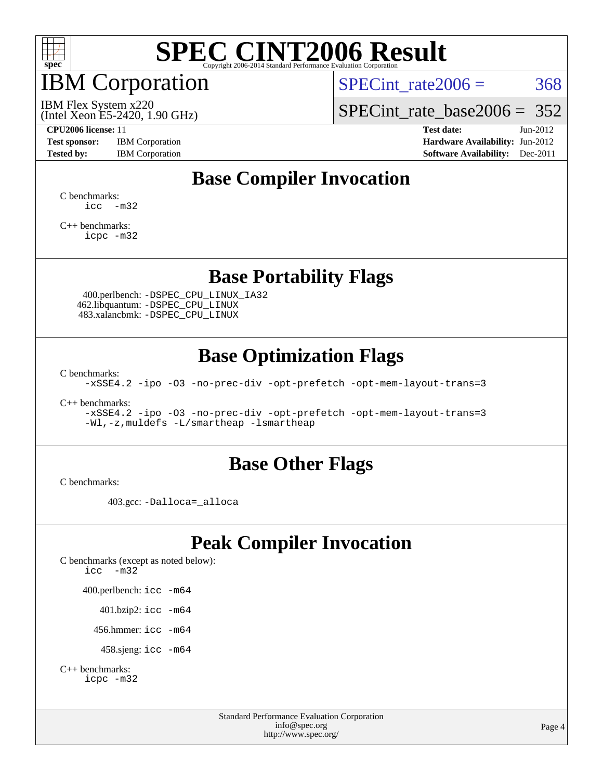

# IBM Corporation

SPECint rate $2006 = 368$ 

(Intel Xeon E5-2420, 1.90 GHz) IBM Flex System x220

[SPECint\\_rate\\_base2006 =](http://www.spec.org/auto/cpu2006/Docs/result-fields.html#SPECintratebase2006) 352

**[Test sponsor:](http://www.spec.org/auto/cpu2006/Docs/result-fields.html#Testsponsor)** IBM Corporation **[Hardware Availability:](http://www.spec.org/auto/cpu2006/Docs/result-fields.html#HardwareAvailability)** Jun-2012

**[CPU2006 license:](http://www.spec.org/auto/cpu2006/Docs/result-fields.html#CPU2006license)** 11 **[Test date:](http://www.spec.org/auto/cpu2006/Docs/result-fields.html#Testdate)** Jun-2012 **[Tested by:](http://www.spec.org/auto/cpu2006/Docs/result-fields.html#Testedby)** IBM Corporation **[Software Availability:](http://www.spec.org/auto/cpu2006/Docs/result-fields.html#SoftwareAvailability)** Dec-2011

## **[Base Compiler Invocation](http://www.spec.org/auto/cpu2006/Docs/result-fields.html#BaseCompilerInvocation)**

[C benchmarks](http://www.spec.org/auto/cpu2006/Docs/result-fields.html#Cbenchmarks):  $\text{icc}$   $-\text{m32}$ 

[C++ benchmarks:](http://www.spec.org/auto/cpu2006/Docs/result-fields.html#CXXbenchmarks) [icpc -m32](http://www.spec.org/cpu2006/results/res2012q3/cpu2006-20120618-23021.flags.html#user_CXXbase_intel_icpc_4e5a5ef1a53fd332b3c49e69c3330699)

### **[Base Portability Flags](http://www.spec.org/auto/cpu2006/Docs/result-fields.html#BasePortabilityFlags)**

 400.perlbench: [-DSPEC\\_CPU\\_LINUX\\_IA32](http://www.spec.org/cpu2006/results/res2012q3/cpu2006-20120618-23021.flags.html#b400.perlbench_baseCPORTABILITY_DSPEC_CPU_LINUX_IA32) 462.libquantum: [-DSPEC\\_CPU\\_LINUX](http://www.spec.org/cpu2006/results/res2012q3/cpu2006-20120618-23021.flags.html#b462.libquantum_baseCPORTABILITY_DSPEC_CPU_LINUX) 483.xalancbmk: [-DSPEC\\_CPU\\_LINUX](http://www.spec.org/cpu2006/results/res2012q3/cpu2006-20120618-23021.flags.html#b483.xalancbmk_baseCXXPORTABILITY_DSPEC_CPU_LINUX)

### **[Base Optimization Flags](http://www.spec.org/auto/cpu2006/Docs/result-fields.html#BaseOptimizationFlags)**

[C benchmarks](http://www.spec.org/auto/cpu2006/Docs/result-fields.html#Cbenchmarks):

[-xSSE4.2](http://www.spec.org/cpu2006/results/res2012q3/cpu2006-20120618-23021.flags.html#user_CCbase_f-xSSE42_f91528193cf0b216347adb8b939d4107) [-ipo](http://www.spec.org/cpu2006/results/res2012q3/cpu2006-20120618-23021.flags.html#user_CCbase_f-ipo) [-O3](http://www.spec.org/cpu2006/results/res2012q3/cpu2006-20120618-23021.flags.html#user_CCbase_f-O3) [-no-prec-div](http://www.spec.org/cpu2006/results/res2012q3/cpu2006-20120618-23021.flags.html#user_CCbase_f-no-prec-div) [-opt-prefetch](http://www.spec.org/cpu2006/results/res2012q3/cpu2006-20120618-23021.flags.html#user_CCbase_f-opt-prefetch) [-opt-mem-layout-trans=3](http://www.spec.org/cpu2006/results/res2012q3/cpu2006-20120618-23021.flags.html#user_CCbase_f-opt-mem-layout-trans_a7b82ad4bd7abf52556d4961a2ae94d5)

[C++ benchmarks:](http://www.spec.org/auto/cpu2006/Docs/result-fields.html#CXXbenchmarks)

[-xSSE4.2](http://www.spec.org/cpu2006/results/res2012q3/cpu2006-20120618-23021.flags.html#user_CXXbase_f-xSSE42_f91528193cf0b216347adb8b939d4107) [-ipo](http://www.spec.org/cpu2006/results/res2012q3/cpu2006-20120618-23021.flags.html#user_CXXbase_f-ipo) [-O3](http://www.spec.org/cpu2006/results/res2012q3/cpu2006-20120618-23021.flags.html#user_CXXbase_f-O3) [-no-prec-div](http://www.spec.org/cpu2006/results/res2012q3/cpu2006-20120618-23021.flags.html#user_CXXbase_f-no-prec-div) [-opt-prefetch](http://www.spec.org/cpu2006/results/res2012q3/cpu2006-20120618-23021.flags.html#user_CXXbase_f-opt-prefetch) [-opt-mem-layout-trans=3](http://www.spec.org/cpu2006/results/res2012q3/cpu2006-20120618-23021.flags.html#user_CXXbase_f-opt-mem-layout-trans_a7b82ad4bd7abf52556d4961a2ae94d5) [-Wl,-z,muldefs](http://www.spec.org/cpu2006/results/res2012q3/cpu2006-20120618-23021.flags.html#user_CXXbase_link_force_multiple1_74079c344b956b9658436fd1b6dd3a8a) [-L/smartheap -lsmartheap](http://www.spec.org/cpu2006/results/res2012q3/cpu2006-20120618-23021.flags.html#user_CXXbase_SmartHeap_7c9e394a5779e1a7fec7c221e123830c)

### **[Base Other Flags](http://www.spec.org/auto/cpu2006/Docs/result-fields.html#BaseOtherFlags)**

[C benchmarks](http://www.spec.org/auto/cpu2006/Docs/result-fields.html#Cbenchmarks):

403.gcc: [-Dalloca=\\_alloca](http://www.spec.org/cpu2006/results/res2012q3/cpu2006-20120618-23021.flags.html#b403.gcc_baseEXTRA_CFLAGS_Dalloca_be3056838c12de2578596ca5467af7f3)

## **[Peak Compiler Invocation](http://www.spec.org/auto/cpu2006/Docs/result-fields.html#PeakCompilerInvocation)**

[C benchmarks \(except as noted below\)](http://www.spec.org/auto/cpu2006/Docs/result-fields.html#Cbenchmarksexceptasnotedbelow): [icc -m32](http://www.spec.org/cpu2006/results/res2012q3/cpu2006-20120618-23021.flags.html#user_CCpeak_intel_icc_5ff4a39e364c98233615fdd38438c6f2) 400.perlbench: [icc -m64](http://www.spec.org/cpu2006/results/res2012q3/cpu2006-20120618-23021.flags.html#user_peakCCLD400_perlbench_intel_icc_64bit_bda6cc9af1fdbb0edc3795bac97ada53) 401.bzip2: [icc -m64](http://www.spec.org/cpu2006/results/res2012q3/cpu2006-20120618-23021.flags.html#user_peakCCLD401_bzip2_intel_icc_64bit_bda6cc9af1fdbb0edc3795bac97ada53)

456.hmmer: [icc -m64](http://www.spec.org/cpu2006/results/res2012q3/cpu2006-20120618-23021.flags.html#user_peakCCLD456_hmmer_intel_icc_64bit_bda6cc9af1fdbb0edc3795bac97ada53)

458.sjeng: [icc -m64](http://www.spec.org/cpu2006/results/res2012q3/cpu2006-20120618-23021.flags.html#user_peakCCLD458_sjeng_intel_icc_64bit_bda6cc9af1fdbb0edc3795bac97ada53)

```
C++ benchmarks: 
icpc -m32
```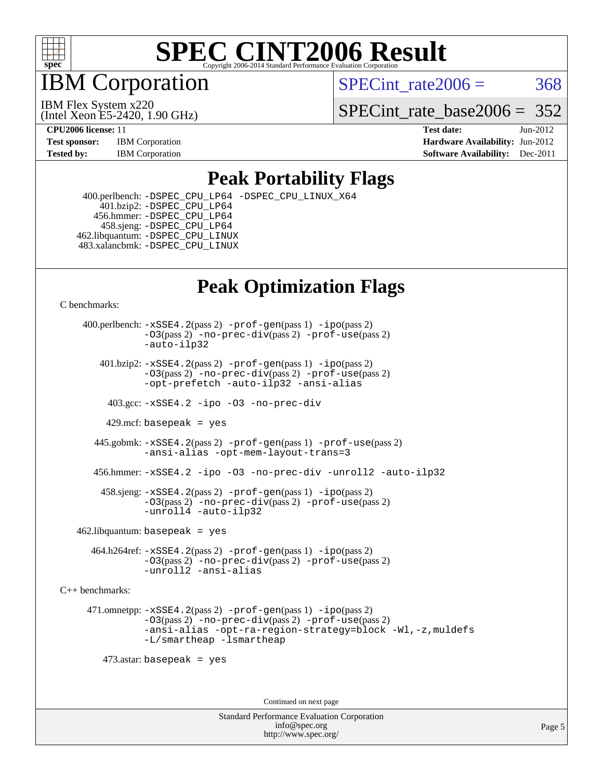

IBM Corporation

SPECint rate $2006 = 368$ 

(Intel Xeon E5-2420, 1.90 GHz) IBM Flex System x220

SPECint rate base  $2006 = 352$ 

**[CPU2006 license:](http://www.spec.org/auto/cpu2006/Docs/result-fields.html#CPU2006license)** 11 **[Test date:](http://www.spec.org/auto/cpu2006/Docs/result-fields.html#Testdate)** Jun-2012 **[Test sponsor:](http://www.spec.org/auto/cpu2006/Docs/result-fields.html#Testsponsor)** IBM Corporation **[Hardware Availability:](http://www.spec.org/auto/cpu2006/Docs/result-fields.html#HardwareAvailability)** Jun-2012 **[Tested by:](http://www.spec.org/auto/cpu2006/Docs/result-fields.html#Testedby)** IBM Corporation **IBM** Corporation **[Software Availability:](http://www.spec.org/auto/cpu2006/Docs/result-fields.html#SoftwareAvailability)** Dec-2011

### **[Peak Portability Flags](http://www.spec.org/auto/cpu2006/Docs/result-fields.html#PeakPortabilityFlags)**

 400.perlbench: [-DSPEC\\_CPU\\_LP64](http://www.spec.org/cpu2006/results/res2012q3/cpu2006-20120618-23021.flags.html#b400.perlbench_peakCPORTABILITY_DSPEC_CPU_LP64) [-DSPEC\\_CPU\\_LINUX\\_X64](http://www.spec.org/cpu2006/results/res2012q3/cpu2006-20120618-23021.flags.html#b400.perlbench_peakCPORTABILITY_DSPEC_CPU_LINUX_X64) 401.bzip2: [-DSPEC\\_CPU\\_LP64](http://www.spec.org/cpu2006/results/res2012q3/cpu2006-20120618-23021.flags.html#suite_peakCPORTABILITY401_bzip2_DSPEC_CPU_LP64) 456.hmmer: [-DSPEC\\_CPU\\_LP64](http://www.spec.org/cpu2006/results/res2012q3/cpu2006-20120618-23021.flags.html#suite_peakCPORTABILITY456_hmmer_DSPEC_CPU_LP64) 458.sjeng: [-DSPEC\\_CPU\\_LP64](http://www.spec.org/cpu2006/results/res2012q3/cpu2006-20120618-23021.flags.html#suite_peakCPORTABILITY458_sjeng_DSPEC_CPU_LP64) 462.libquantum: [-DSPEC\\_CPU\\_LINUX](http://www.spec.org/cpu2006/results/res2012q3/cpu2006-20120618-23021.flags.html#b462.libquantum_peakCPORTABILITY_DSPEC_CPU_LINUX) 483.xalancbmk: [-DSPEC\\_CPU\\_LINUX](http://www.spec.org/cpu2006/results/res2012q3/cpu2006-20120618-23021.flags.html#b483.xalancbmk_peakCXXPORTABILITY_DSPEC_CPU_LINUX)

## **[Peak Optimization Flags](http://www.spec.org/auto/cpu2006/Docs/result-fields.html#PeakOptimizationFlags)**

[C benchmarks](http://www.spec.org/auto/cpu2006/Docs/result-fields.html#Cbenchmarks):

 400.perlbench: [-xSSE4.2](http://www.spec.org/cpu2006/results/res2012q3/cpu2006-20120618-23021.flags.html#user_peakPASS2_CFLAGSPASS2_LDCFLAGS400_perlbench_f-xSSE42_f91528193cf0b216347adb8b939d4107)(pass 2) [-prof-gen](http://www.spec.org/cpu2006/results/res2012q3/cpu2006-20120618-23021.flags.html#user_peakPASS1_CFLAGSPASS1_LDCFLAGS400_perlbench_prof_gen_e43856698f6ca7b7e442dfd80e94a8fc)(pass 1) [-ipo](http://www.spec.org/cpu2006/results/res2012q3/cpu2006-20120618-23021.flags.html#user_peakPASS2_CFLAGSPASS2_LDCFLAGS400_perlbench_f-ipo)(pass 2) [-O3](http://www.spec.org/cpu2006/results/res2012q3/cpu2006-20120618-23021.flags.html#user_peakPASS2_CFLAGSPASS2_LDCFLAGS400_perlbench_f-O3)(pass 2) [-no-prec-div](http://www.spec.org/cpu2006/results/res2012q3/cpu2006-20120618-23021.flags.html#user_peakPASS2_CFLAGSPASS2_LDCFLAGS400_perlbench_f-no-prec-div)(pass 2) [-prof-use](http://www.spec.org/cpu2006/results/res2012q3/cpu2006-20120618-23021.flags.html#user_peakPASS2_CFLAGSPASS2_LDCFLAGS400_perlbench_prof_use_bccf7792157ff70d64e32fe3e1250b55)(pass 2) [-auto-ilp32](http://www.spec.org/cpu2006/results/res2012q3/cpu2006-20120618-23021.flags.html#user_peakCOPTIMIZE400_perlbench_f-auto-ilp32)  $401.bzip2: -xSSE4.2(pass 2) -prof-qen(pass 1) -ipo(pass 2)$  $401.bzip2: -xSSE4.2(pass 2) -prof-qen(pass 1) -ipo(pass 2)$  $401.bzip2: -xSSE4.2(pass 2) -prof-qen(pass 1) -ipo(pass 2)$  $401.bzip2: -xSSE4.2(pass 2) -prof-qen(pass 1) -ipo(pass 2)$  $401.bzip2: -xSSE4.2(pass 2) -prof-qen(pass 1) -ipo(pass 2)$ [-O3](http://www.spec.org/cpu2006/results/res2012q3/cpu2006-20120618-23021.flags.html#user_peakPASS2_CFLAGSPASS2_LDCFLAGS401_bzip2_f-O3)(pass 2) [-no-prec-div](http://www.spec.org/cpu2006/results/res2012q3/cpu2006-20120618-23021.flags.html#user_peakPASS2_CFLAGSPASS2_LDCFLAGS401_bzip2_f-no-prec-div)(pass 2) [-prof-use](http://www.spec.org/cpu2006/results/res2012q3/cpu2006-20120618-23021.flags.html#user_peakPASS2_CFLAGSPASS2_LDCFLAGS401_bzip2_prof_use_bccf7792157ff70d64e32fe3e1250b55)(pass 2) [-opt-prefetch](http://www.spec.org/cpu2006/results/res2012q3/cpu2006-20120618-23021.flags.html#user_peakCOPTIMIZE401_bzip2_f-opt-prefetch) [-auto-ilp32](http://www.spec.org/cpu2006/results/res2012q3/cpu2006-20120618-23021.flags.html#user_peakCOPTIMIZE401_bzip2_f-auto-ilp32) [-ansi-alias](http://www.spec.org/cpu2006/results/res2012q3/cpu2006-20120618-23021.flags.html#user_peakCOPTIMIZE401_bzip2_f-ansi-alias) 403.gcc: [-xSSE4.2](http://www.spec.org/cpu2006/results/res2012q3/cpu2006-20120618-23021.flags.html#user_peakCOPTIMIZE403_gcc_f-xSSE42_f91528193cf0b216347adb8b939d4107) [-ipo](http://www.spec.org/cpu2006/results/res2012q3/cpu2006-20120618-23021.flags.html#user_peakCOPTIMIZE403_gcc_f-ipo) [-O3](http://www.spec.org/cpu2006/results/res2012q3/cpu2006-20120618-23021.flags.html#user_peakCOPTIMIZE403_gcc_f-O3) [-no-prec-div](http://www.spec.org/cpu2006/results/res2012q3/cpu2006-20120618-23021.flags.html#user_peakCOPTIMIZE403_gcc_f-no-prec-div) 429.mcf: basepeak = yes 445.gobmk: [-xSSE4.2](http://www.spec.org/cpu2006/results/res2012q3/cpu2006-20120618-23021.flags.html#user_peakPASS2_CFLAGSPASS2_LDCFLAGS445_gobmk_f-xSSE42_f91528193cf0b216347adb8b939d4107)(pass 2) [-prof-gen](http://www.spec.org/cpu2006/results/res2012q3/cpu2006-20120618-23021.flags.html#user_peakPASS1_CFLAGSPASS1_LDCFLAGS445_gobmk_prof_gen_e43856698f6ca7b7e442dfd80e94a8fc)(pass 1) [-prof-use](http://www.spec.org/cpu2006/results/res2012q3/cpu2006-20120618-23021.flags.html#user_peakPASS2_CFLAGSPASS2_LDCFLAGS445_gobmk_prof_use_bccf7792157ff70d64e32fe3e1250b55)(pass 2) [-ansi-alias](http://www.spec.org/cpu2006/results/res2012q3/cpu2006-20120618-23021.flags.html#user_peakCOPTIMIZE445_gobmk_f-ansi-alias) [-opt-mem-layout-trans=3](http://www.spec.org/cpu2006/results/res2012q3/cpu2006-20120618-23021.flags.html#user_peakCOPTIMIZE445_gobmk_f-opt-mem-layout-trans_a7b82ad4bd7abf52556d4961a2ae94d5) 456.hmmer: [-xSSE4.2](http://www.spec.org/cpu2006/results/res2012q3/cpu2006-20120618-23021.flags.html#user_peakCOPTIMIZE456_hmmer_f-xSSE42_f91528193cf0b216347adb8b939d4107) [-ipo](http://www.spec.org/cpu2006/results/res2012q3/cpu2006-20120618-23021.flags.html#user_peakCOPTIMIZE456_hmmer_f-ipo) [-O3](http://www.spec.org/cpu2006/results/res2012q3/cpu2006-20120618-23021.flags.html#user_peakCOPTIMIZE456_hmmer_f-O3) [-no-prec-div](http://www.spec.org/cpu2006/results/res2012q3/cpu2006-20120618-23021.flags.html#user_peakCOPTIMIZE456_hmmer_f-no-prec-div) [-unroll2](http://www.spec.org/cpu2006/results/res2012q3/cpu2006-20120618-23021.flags.html#user_peakCOPTIMIZE456_hmmer_f-unroll_784dae83bebfb236979b41d2422d7ec2) [-auto-ilp32](http://www.spec.org/cpu2006/results/res2012q3/cpu2006-20120618-23021.flags.html#user_peakCOPTIMIZE456_hmmer_f-auto-ilp32) 458.sjeng: [-xSSE4.2](http://www.spec.org/cpu2006/results/res2012q3/cpu2006-20120618-23021.flags.html#user_peakPASS2_CFLAGSPASS2_LDCFLAGS458_sjeng_f-xSSE42_f91528193cf0b216347adb8b939d4107)(pass 2) [-prof-gen](http://www.spec.org/cpu2006/results/res2012q3/cpu2006-20120618-23021.flags.html#user_peakPASS1_CFLAGSPASS1_LDCFLAGS458_sjeng_prof_gen_e43856698f6ca7b7e442dfd80e94a8fc)(pass 1) [-ipo](http://www.spec.org/cpu2006/results/res2012q3/cpu2006-20120618-23021.flags.html#user_peakPASS2_CFLAGSPASS2_LDCFLAGS458_sjeng_f-ipo)(pass 2) [-O3](http://www.spec.org/cpu2006/results/res2012q3/cpu2006-20120618-23021.flags.html#user_peakPASS2_CFLAGSPASS2_LDCFLAGS458_sjeng_f-O3)(pass 2) [-no-prec-div](http://www.spec.org/cpu2006/results/res2012q3/cpu2006-20120618-23021.flags.html#user_peakPASS2_CFLAGSPASS2_LDCFLAGS458_sjeng_f-no-prec-div)(pass 2) [-prof-use](http://www.spec.org/cpu2006/results/res2012q3/cpu2006-20120618-23021.flags.html#user_peakPASS2_CFLAGSPASS2_LDCFLAGS458_sjeng_prof_use_bccf7792157ff70d64e32fe3e1250b55)(pass 2) [-unroll4](http://www.spec.org/cpu2006/results/res2012q3/cpu2006-20120618-23021.flags.html#user_peakCOPTIMIZE458_sjeng_f-unroll_4e5e4ed65b7fd20bdcd365bec371b81f) [-auto-ilp32](http://www.spec.org/cpu2006/results/res2012q3/cpu2006-20120618-23021.flags.html#user_peakCOPTIMIZE458_sjeng_f-auto-ilp32)  $462$ .libquantum: basepeak = yes 464.h264ref: [-xSSE4.2](http://www.spec.org/cpu2006/results/res2012q3/cpu2006-20120618-23021.flags.html#user_peakPASS2_CFLAGSPASS2_LDCFLAGS464_h264ref_f-xSSE42_f91528193cf0b216347adb8b939d4107)(pass 2) [-prof-gen](http://www.spec.org/cpu2006/results/res2012q3/cpu2006-20120618-23021.flags.html#user_peakPASS1_CFLAGSPASS1_LDCFLAGS464_h264ref_prof_gen_e43856698f6ca7b7e442dfd80e94a8fc)(pass 1) [-ipo](http://www.spec.org/cpu2006/results/res2012q3/cpu2006-20120618-23021.flags.html#user_peakPASS2_CFLAGSPASS2_LDCFLAGS464_h264ref_f-ipo)(pass 2) [-O3](http://www.spec.org/cpu2006/results/res2012q3/cpu2006-20120618-23021.flags.html#user_peakPASS2_CFLAGSPASS2_LDCFLAGS464_h264ref_f-O3)(pass 2) [-no-prec-div](http://www.spec.org/cpu2006/results/res2012q3/cpu2006-20120618-23021.flags.html#user_peakPASS2_CFLAGSPASS2_LDCFLAGS464_h264ref_f-no-prec-div)(pass 2) [-prof-use](http://www.spec.org/cpu2006/results/res2012q3/cpu2006-20120618-23021.flags.html#user_peakPASS2_CFLAGSPASS2_LDCFLAGS464_h264ref_prof_use_bccf7792157ff70d64e32fe3e1250b55)(pass 2) [-unroll2](http://www.spec.org/cpu2006/results/res2012q3/cpu2006-20120618-23021.flags.html#user_peakCOPTIMIZE464_h264ref_f-unroll_784dae83bebfb236979b41d2422d7ec2) [-ansi-alias](http://www.spec.org/cpu2006/results/res2012q3/cpu2006-20120618-23021.flags.html#user_peakCOPTIMIZE464_h264ref_f-ansi-alias) [C++ benchmarks:](http://www.spec.org/auto/cpu2006/Docs/result-fields.html#CXXbenchmarks) 471.omnetpp: [-xSSE4.2](http://www.spec.org/cpu2006/results/res2012q3/cpu2006-20120618-23021.flags.html#user_peakPASS2_CXXFLAGSPASS2_LDCXXFLAGS471_omnetpp_f-xSSE42_f91528193cf0b216347adb8b939d4107)(pass 2) [-prof-gen](http://www.spec.org/cpu2006/results/res2012q3/cpu2006-20120618-23021.flags.html#user_peakPASS1_CXXFLAGSPASS1_LDCXXFLAGS471_omnetpp_prof_gen_e43856698f6ca7b7e442dfd80e94a8fc)(pass 1) [-ipo](http://www.spec.org/cpu2006/results/res2012q3/cpu2006-20120618-23021.flags.html#user_peakPASS2_CXXFLAGSPASS2_LDCXXFLAGS471_omnetpp_f-ipo)(pass 2) [-O3](http://www.spec.org/cpu2006/results/res2012q3/cpu2006-20120618-23021.flags.html#user_peakPASS2_CXXFLAGSPASS2_LDCXXFLAGS471_omnetpp_f-O3)(pass 2) [-no-prec-div](http://www.spec.org/cpu2006/results/res2012q3/cpu2006-20120618-23021.flags.html#user_peakPASS2_CXXFLAGSPASS2_LDCXXFLAGS471_omnetpp_f-no-prec-div)(pass 2) [-prof-use](http://www.spec.org/cpu2006/results/res2012q3/cpu2006-20120618-23021.flags.html#user_peakPASS2_CXXFLAGSPASS2_LDCXXFLAGS471_omnetpp_prof_use_bccf7792157ff70d64e32fe3e1250b55)(pass 2) [-ansi-alias](http://www.spec.org/cpu2006/results/res2012q3/cpu2006-20120618-23021.flags.html#user_peakCXXOPTIMIZE471_omnetpp_f-ansi-alias) [-opt-ra-region-strategy=block](http://www.spec.org/cpu2006/results/res2012q3/cpu2006-20120618-23021.flags.html#user_peakCXXOPTIMIZE471_omnetpp_f-opt-ra-region-strategy_a0a37c372d03933b2a18d4af463c1f69) [-Wl,-z,muldefs](http://www.spec.org/cpu2006/results/res2012q3/cpu2006-20120618-23021.flags.html#user_peakEXTRA_LDFLAGS471_omnetpp_link_force_multiple1_74079c344b956b9658436fd1b6dd3a8a) [-L/smartheap -lsmartheap](http://www.spec.org/cpu2006/results/res2012q3/cpu2006-20120618-23021.flags.html#user_peakEXTRA_LIBS471_omnetpp_SmartHeap_7c9e394a5779e1a7fec7c221e123830c) 473.astar: basepeak = yes

Continued on next page